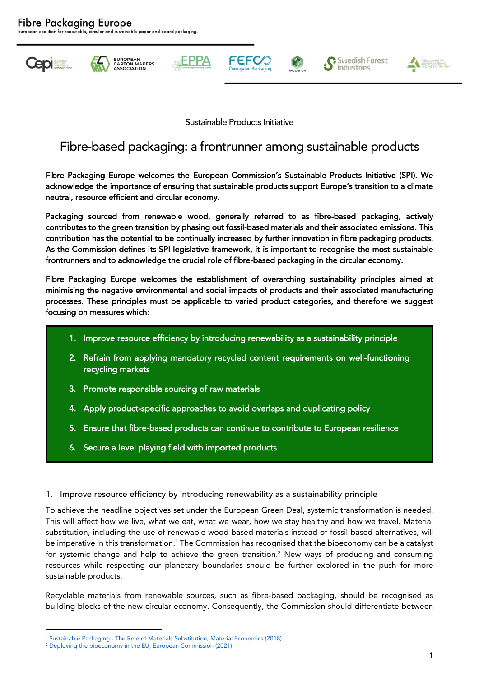**Cepi Bookstone** 











Sustainable Products Initiative

# Fibre-based packaging: a frontrunner among sustainable products

Fibre Packaging Europe welcomes the European Commission's Sustainable Products Initiative (SPI). We acknowledge the importance of ensuring that sustainable products support Europe's transition to a climate neutral, resource efficient and circular economy.

Packaging sourced from renewable wood, generally referred to as fibre-based packaging, actively contributes to the green transition by phasing out fossil-based materials and their associated emissions. This contribution has the potential to be continually increased by further innovation in fibre packaging products. As the Commission defines its SPI legislative framework, it is important to recognise the most sustainable frontrunners and to acknowledge the crucial role of fibre-based packaging in the circular economy.

Fibre Packaging Europe welcomes the establishment of overarching sustainability principles aimed at minimising the negative environmental and social impacts of products and their associated manufacturing processes. These principles must be applicable to varied product categories, and therefore we suggest focusing on measures which:

- 1. Improve resource efficiency by introducing renewability as a sustainability principle
- 2. Refrain from applying mandatory recycled content requirements on well-functioning recycling markets
- 3. Promote responsible sourcing of raw materials
- 4. Apply product-specific approaches to avoid overlaps and duplicating policy
- 5. Ensure that fibre-based products can continue to contribute to European resilience
- 6. Secure a level playing field with imported products
- 1. Improve resource efficiency by introducing renewability as a sustainability principle

To achieve the headline objectives set under the European Green Deal, systemic transformation is needed. This will affect how we live, what we eat, what we wear, how we stay healthy and how we travel. Material substitution, including the use of renewable wood-based materials instead of fossil-based alternatives, will be imperative in this transformation.<sup>1</sup> The Commission has recognised that the bioeconomy can be a catalyst for systemic change and help to achieve the green transition. $^2$  New ways of producing and consuming resources while respecting our planetary boundaries should be further explored in the push for more sustainable products.

Recyclable materials from renewable sources, such as fibre-based packaging, should be recognised as building blocks of the new circular economy. Consequently, the Commission should differentiate between

<sup>1</sup> Sustainable Packaging - [The Role of Materials Substitution, Material Economics \(2018\)](https://materialeconomics.com/publications/sustainable-packaging)

<sup>&</sup>lt;sup>2</sup> [Deploying the bioeconomy in the EU, European Commission \(2021\)](https://op.europa.eu/en/publication-detail/-/publication/2cf89630-e2bc-11eb-895a-01aa75ed71a1/)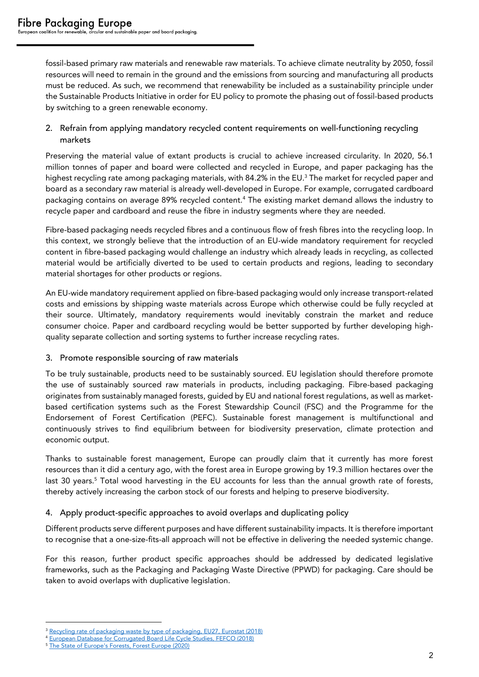fossil-based primary raw materials and renewable raw materials. To achieve climate neutrality by 2050, fossil resources will need to remain in the ground and the emissions from sourcing and manufacturing all products must be reduced. As such, we recommend that renewability be included as a sustainability principle under the Sustainable Products Initiative in order for EU policy to promote the phasing out of fossil-based products by switching to a green renewable economy.

## 2. Refrain from applying mandatory recycled content requirements on well-functioning recycling markets

Preserving the material value of extant products is crucial to achieve increased circularity. In 2020, 56.1 million tonnes of paper and board were collected and recycled in Europe, and paper packaging has the highest recycling rate among packaging materials, with 84.2% in the EU.<sup>3</sup> The market for recycled paper and board as a secondary raw material is already well-developed in Europe. For example, corrugated cardboard packaging contains on average 89% recycled content.<sup>4</sup> The existing market demand allows the industry to recycle paper and cardboard and reuse the fibre in industry segments where they are needed.

Fibre-based packaging needs recycled fibres and a continuous flow of fresh fibres into the recycling loop. In this context, we strongly believe that the introduction of an EU-wide mandatory requirement for recycled content in fibre-based packaging would challenge an industry which already leads in recycling, as collected material would be artificially diverted to be used to certain products and regions, leading to secondary material shortages for other products or regions.

An EU-wide mandatory requirement applied on fibre-based packaging would only increase transport-related costs and emissions by shipping waste materials across Europe which otherwise could be fully recycled at their source. Ultimately, mandatory requirements would inevitably constrain the market and reduce consumer choice. Paper and cardboard recycling would be better supported by further developing highquality separate collection and sorting systems to further increase recycling rates.

#### 3. Promote responsible sourcing of raw materials

To be truly sustainable, products need to be sustainably sourced. EU legislation should therefore promote the use of sustainably sourced raw materials in products, including packaging. Fibre-based packaging originates from sustainably managed forests, guided by EU and national forest regulations, as well as marketbased certification systems such as the Forest Stewardship Council (FSC) and the Programme for the Endorsement of Forest Certification (PEFC). Sustainable forest management is multifunctional and continuously strives to find equilibrium between for biodiversity preservation, climate protection and economic output.

Thanks to sustainable forest management, Europe can proudly claim that it currently has more forest resources than it did a century ago, with the forest area in Europe growing by 19.3 million hectares over the last 30 years.<sup>5</sup> Total wood harvesting in the EU accounts for less than the annual growth rate of forests, thereby actively increasing the carbon stock of our forests and helping to preserve biodiversity.

## 4. Apply product-specific approaches to avoid overlaps and duplicating policy

Different products serve different purposes and have different sustainability impacts. It is therefore important to recognise that a one-size-fits-all approach will not be effective in delivering the needed systemic change.

For this reason, further product specific approaches should be addressed by dedicated legislative frameworks, such as the Packaging and Packaging Waste Directive (PPWD) for packaging. Care should be taken to avoid overlaps with duplicative legislation.

<sup>&</sup>lt;sup>3</sup> [Recycling rate of packaging waste by type of packaging, EU27, Eurostat \(2018\)](https://ec.europa.eu/eurostat/databrowser/bookmark/d73804e4-e7d8-464d-9d5d-c9f1019d3fcf?lang=en)

<sup>4</sup> [European Database for Corrugated Board Life Cycle Studies, FEFCO \(2018\)](https://www.fefco.org/2018-european-database-corrugated-board-life-cycle-studies-revised)

<sup>5</sup> [The State of Europe's Forests, Forest Europe \(2020\)](https://foresteurope.org/wp-content/uploads/2016/08/SoEF_2020.pdf)